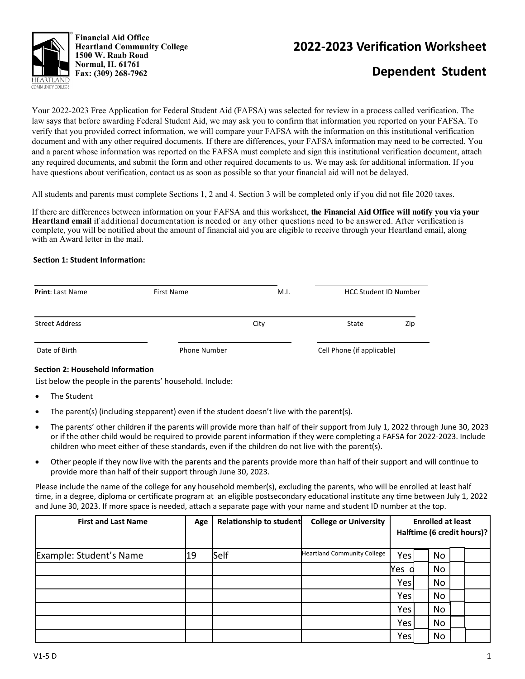

**Financial Aid Office Heartland Community College 1500 W. Raab Road Normal, IL 61761 Fax: (309) 268-7962** 

## **2022‐2023 VerificaƟon Worksheet**

# **Dependent Student**

Your 2022-2023 Free Application for Federal Student Aid (FAFSA) was selected for review in a process called verification. The law says that before awarding Federal Student Aid, we may ask you to confirm that information you reported on your FAFSA. To verify that you provided correct information, we will compare your FAFSA with the information on this institutional verification document and with any other required documents. If there are differences, your FAFSA information may need to be corrected. You and a parent whose information was reported on the FAFSA must complete and sign this institutional verification document, attach any required documents, and submit the form and other required documents to us. We may ask for additional information. If you have questions about verification, contact us as soon as possible so that your financial aid will not be delayed.

All students and parents must complete Sections 1, 2 and 4. Section 3 will be completed only if you did not file 2020 taxes.

If there are differences between information on your FAFSA and this worksheet, **the Financial Aid Office will notify you via your Heartland email** if additional documentation is needed or any other questions need to be answered. After verification is complete, you will be notified about the amount of financial aid you are eligible to receive through your Heartland email, along with an Award letter in the mail.

#### **SecƟon 1: Student InformaƟon:**

| <b>Print: Last Name</b> | First Name          | M.I. | <b>HCC Student ID Number</b> |     |  |
|-------------------------|---------------------|------|------------------------------|-----|--|
| <b>Street Address</b>   |                     | City | State                        | Zip |  |
| Date of Birth           | <b>Phone Number</b> |      | Cell Phone (if applicable)   |     |  |

#### **Section 2: Household Information**

List below the people in the parents' household. Include:

- The Student
- The parent(s) (including stepparent) even if the student doesn't live with the parent(s).
- The parents' other children if the parents will provide more than half of their support from July 1, 2022 through June 30, 2023 or if the other child would be required to provide parent information if they were completing a FAFSA for 2022-2023. Include children who meet either of these standards, even if the children do not live with the parent(s).
- Other people if they now live with the parents and the parents provide more than half of their support and will continue to provide more than half of their support through June 30, 2023.

Please include the name of the college for any household member(s), excluding the parents, who will be enrolled at least half time, in a degree, diploma or certificate program at an eligible postsecondary educational institute any time between July 1, 2022 and June 30, 2023. If more space is needed, attach a separate page with your name and student ID number at the top.

| <b>First and Last Name</b> | Age | <b>Relationship to student</b> | <b>College or University</b>       | <b>Enrolled at least</b><br>Halftime (6 credit hours)? |  |    |  |  |
|----------------------------|-----|--------------------------------|------------------------------------|--------------------------------------------------------|--|----|--|--|
| Example: Student's Name    | 19  | Self                           | <b>Heartland Community College</b> | Yes                                                    |  | No |  |  |
|                            |     |                                |                                    | Yes                                                    |  | No |  |  |
|                            |     |                                |                                    | Yes                                                    |  | No |  |  |
|                            |     |                                |                                    | Yes                                                    |  | No |  |  |
|                            |     |                                |                                    | Yes                                                    |  | No |  |  |
|                            |     |                                |                                    | Yes                                                    |  | No |  |  |
|                            |     |                                |                                    | Yes                                                    |  | No |  |  |